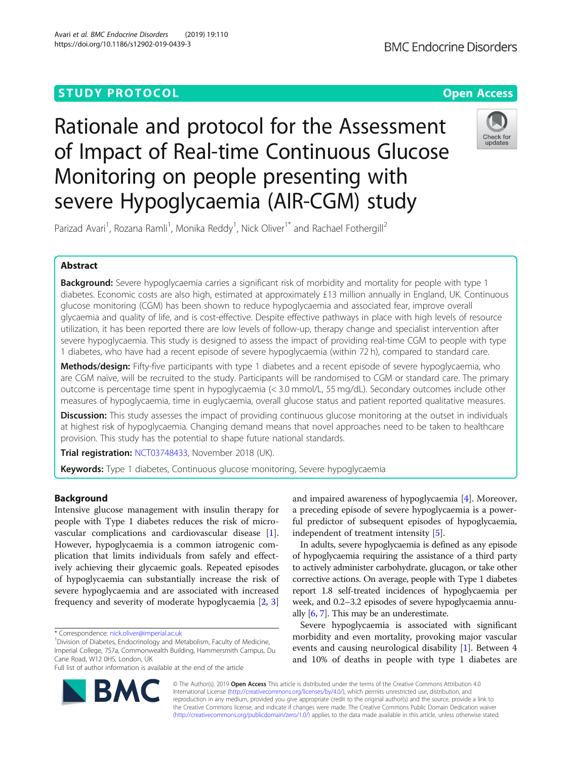# **STUDY PROTOCOL CONSUMING THE RESERVE ACCESS**

Rationale and protocol for the Assessment of Impact of Real-time Continuous Glucose Monitoring on people presenting with severe Hypoglycaemia (AIR-CGM) study



Parizad Avari<sup>1</sup>, Rozana Ramli<sup>1</sup>, Monika Reddy<sup>1</sup>, Nick Oliver<sup>1\*</sup> and Rachael Fothergill<sup>2</sup>

# Abstract

Background: Severe hypoglycaemia carries a significant risk of morbidity and mortality for people with type 1 diabetes. Economic costs are also high, estimated at approximately £13 million annually in England, UK. Continuous glucose monitoring (CGM) has been shown to reduce hypoglycaemia and associated fear, improve overall glycaemia and quality of life, and is cost-effective. Despite effective pathways in place with high levels of resource utilization, it has been reported there are low levels of follow-up, therapy change and specialist intervention after severe hypoglycaemia. This study is designed to assess the impact of providing real-time CGM to people with type 1 diabetes, who have had a recent episode of severe hypoglycaemia (within 72 h), compared to standard care.

Methods/design: Fifty-five participants with type 1 diabetes and a recent episode of severe hypoglycaemia, who are CGM naïve, will be recruited to the study. Participants will be randomised to CGM or standard care. The primary outcome is percentage time spent in hypoglycaemia (< 3.0 mmol/L, 55 mg/dL). Secondary outcomes include other measures of hypoglycaemia, time in euglycaemia, overall glucose status and patient reported qualitative measures.

Discussion: This study assesses the impact of providing continuous glucose monitoring at the outset in individuals at highest risk of hypoglycaemia. Changing demand means that novel approaches need to be taken to healthcare provision. This study has the potential to shape future national standards.

Trial registration: [NCT03748433](https://clinicaltrials.gov/ct2/show/NCT03748433), November 2018 (UK).

Keywords: Type 1 diabetes, Continuous glucose monitoring, Severe hypoglycaemia

# Background

Intensive glucose management with insulin therapy for people with Type 1 diabetes reduces the risk of microvascular complications and cardiovascular disease [\[1](#page-6-0)]. However, hypoglycaemia is a common iatrogenic complication that limits individuals from safely and effectively achieving their glycaemic goals. Repeated episodes of hypoglycaemia can substantially increase the risk of severe hypoglycaemia and are associated with increased frequency and severity of moderate hypoglycaemia [\[2](#page-6-0), [3](#page-6-0)]

Full list of author information is available at the end of the article

and impaired awareness of hypoglycaemia [\[4](#page-6-0)]. Moreover, a preceding episode of severe hypoglycaemia is a powerful predictor of subsequent episodes of hypoglycaemia, independent of treatment intensity [\[5](#page-6-0)].

In adults, severe hypoglycaemia is defined as any episode of hypoglycaemia requiring the assistance of a third party to actively administer carbohydrate, glucagon, or take other corrective actions. On average, people with Type 1 diabetes report 1.8 self-treated incidences of hypoglycaemia per week, and 0.2–3.2 episodes of severe hypoglycaemia annually [[6](#page-6-0), [7\]](#page-6-0). This may be an underestimate.

Severe hypoglycaemia is associated with significant morbidity and even mortality, provoking major vascular events and causing neurological disability [\[1](#page-6-0)]. Between 4 and 10% of deaths in people with type 1 diabetes are



© The Author(s). 2019 Open Access This article is distributed under the terms of the Creative Commons Attribution 4.0 International License [\(http://creativecommons.org/licenses/by/4.0/](http://creativecommons.org/licenses/by/4.0/)), which permits unrestricted use, distribution, and reproduction in any medium, provided you give appropriate credit to the original author(s) and the source, provide a link to the Creative Commons license, and indicate if changes were made. The Creative Commons Public Domain Dedication waiver [\(http://creativecommons.org/publicdomain/zero/1.0/](http://creativecommons.org/publicdomain/zero/1.0/)) applies to the data made available in this article, unless otherwise stated.

<sup>\*</sup> Correspondence: [nick.oliver@imperial.ac.uk](mailto:nick.oliver@imperial.ac.uk) <sup>1</sup>

<sup>&</sup>lt;sup>1</sup> Division of Diabetes, Endocrinology and Metabolism, Faculty of Medicine, Imperial College, 7S7a, Commonwealth Building, Hammersmith Campus, Du Cane Road, W12 0HS, London, UK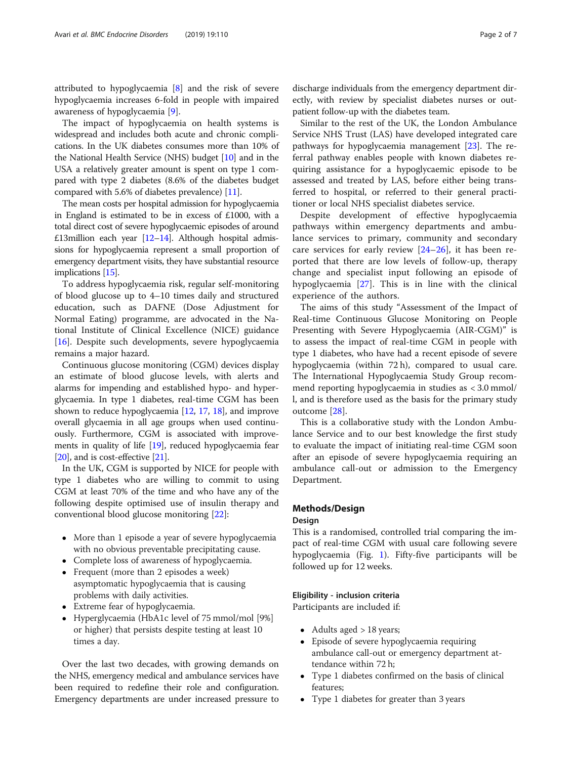attributed to hypoglycaemia [[8\]](#page-6-0) and the risk of severe hypoglycaemia increases 6-fold in people with impaired awareness of hypoglycaemia [[9\]](#page-6-0).

The impact of hypoglycaemia on health systems is widespread and includes both acute and chronic complications. In the UK diabetes consumes more than 10% of the National Health Service (NHS) budget [\[10](#page-6-0)] and in the USA a relatively greater amount is spent on type 1 compared with type 2 diabetes (8.6% of the diabetes budget compared with 5.6% of diabetes prevalence) [\[11\]](#page-6-0).

The mean costs per hospital admission for hypoglycaemia in England is estimated to be in excess of £1000, with a total direct cost of severe hypoglycaemic episodes of around £13million each year [\[12](#page-6-0)–[14\]](#page-6-0). Although hospital admissions for hypoglycaemia represent a small proportion of emergency department visits, they have substantial resource implications [\[15](#page-6-0)].

To address hypoglycaemia risk, regular self-monitoring of blood glucose up to 4–10 times daily and structured education, such as DAFNE (Dose Adjustment for Normal Eating) programme, are advocated in the National Institute of Clinical Excellence (NICE) guidance [[16\]](#page-6-0). Despite such developments, severe hypoglycaemia remains a major hazard.

Continuous glucose monitoring (CGM) devices display an estimate of blood glucose levels, with alerts and alarms for impending and established hypo- and hyperglycaemia. In type 1 diabetes, real-time CGM has been shown to reduce hypoglycaemia [\[12,](#page-6-0) [17,](#page-6-0) [18](#page-6-0)], and improve overall glycaemia in all age groups when used continuously. Furthermore, CGM is associated with improvements in quality of life [\[19\]](#page-6-0), reduced hypoglycaemia fear [[20](#page-6-0)], and is cost-effective [\[21](#page-6-0)].

In the UK, CGM is supported by NICE for people with type 1 diabetes who are willing to commit to using CGM at least 70% of the time and who have any of the following despite optimised use of insulin therapy and conventional blood glucose monitoring [\[22](#page-6-0)]:

- More than 1 episode a year of severe hypoglycaemia with no obvious preventable precipitating cause.
- Complete loss of awareness of hypoglycaemia.
- Frequent (more than 2 episodes a week) asymptomatic hypoglycaemia that is causing problems with daily activities.
- Extreme fear of hypoglycaemia.
- Hyperglycaemia (HbA1c level of 75 mmol/mol [9%] or higher) that persists despite testing at least 10 times a day.

Over the last two decades, with growing demands on the NHS, emergency medical and ambulance services have been required to redefine their role and configuration. Emergency departments are under increased pressure to discharge individuals from the emergency department directly, with review by specialist diabetes nurses or outpatient follow-up with the diabetes team.

Similar to the rest of the UK, the London Ambulance Service NHS Trust (LAS) have developed integrated care pathways for hypoglycaemia management [[23\]](#page-6-0). The referral pathway enables people with known diabetes requiring assistance for a hypoglycaemic episode to be assessed and treated by LAS, before either being transferred to hospital, or referred to their general practitioner or local NHS specialist diabetes service.

Despite development of effective hypoglycaemia pathways within emergency departments and ambulance services to primary, community and secondary care services for early review  $[24-26]$  $[24-26]$  $[24-26]$  $[24-26]$ , it has been reported that there are low levels of follow-up, therapy change and specialist input following an episode of hypoglycaemia [[27\]](#page-6-0). This is in line with the clinical experience of the authors.

The aims of this study "Assessment of the Impact of Real-time Continuous Glucose Monitoring on People Presenting with Severe Hypoglycaemia (AIR-CGM)" is to assess the impact of real-time CGM in people with type 1 diabetes, who have had a recent episode of severe hypoglycaemia (within 72 h), compared to usual care. The International Hypoglycaemia Study Group recommend reporting hypoglycaemia in studies as < 3.0 mmol/ l, and is therefore used as the basis for the primary study outcome [[28](#page-6-0)].

This is a collaborative study with the London Ambulance Service and to our best knowledge the first study to evaluate the impact of initiating real-time CGM soon after an episode of severe hypoglycaemia requiring an ambulance call-out or admission to the Emergency Department.

## Methods/Design

#### Design

This is a randomised, controlled trial comparing the impact of real-time CGM with usual care following severe hypoglycaemia (Fig. [1\)](#page-2-0). Fifty-five participants will be followed up for 12 weeks.

#### Eligibility - inclusion criteria

Participants are included if:

- Adults aged > 18 years;
- Episode of severe hypoglycaemia requiring ambulance call-out or emergency department attendance within 72 h;
- Type 1 diabetes confirmed on the basis of clinical features;
- Type 1 diabetes for greater than 3 years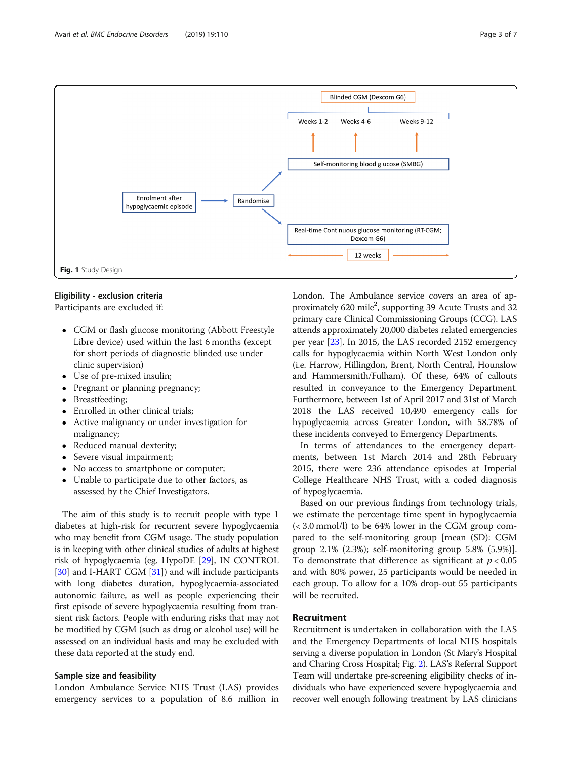

<span id="page-2-0"></span>

# Eligibility - exclusion criteria

Participants are excluded if:

- CGM or flash glucose monitoring (Abbott Freestyle Libre device) used within the last 6 months (except for short periods of diagnostic blinded use under clinic supervision)
- Use of pre-mixed insulin;
- Pregnant or planning pregnancy;
- Breastfeeding;
- Enrolled in other clinical trials;
- Active malignancy or under investigation for malignancy;
- Reduced manual dexterity;
- Severe visual impairment;
- No access to smartphone or computer;
- Unable to participate due to other factors, as assessed by the Chief Investigators.

The aim of this study is to recruit people with type 1 diabetes at high-risk for recurrent severe hypoglycaemia who may benefit from CGM usage. The study population is in keeping with other clinical studies of adults at highest risk of hypoglycaemia (eg. HypoDE [\[29\]](#page-6-0), IN CONTROL [[30](#page-6-0)] and I-HART CGM [\[31\]](#page-6-0)) and will include participants with long diabetes duration, hypoglycaemia-associated autonomic failure, as well as people experiencing their first episode of severe hypoglycaemia resulting from transient risk factors. People with enduring risks that may not be modified by CGM (such as drug or alcohol use) will be assessed on an individual basis and may be excluded with these data reported at the study end.

## Sample size and feasibility

London Ambulance Service NHS Trust (LAS) provides emergency services to a population of 8.6 million in London. The Ambulance service covers an area of approximately 620 mile<sup>2</sup>, supporting 39 Acute Trusts and 32 primary care Clinical Commissioning Groups (CCG). LAS attends approximately 20,000 diabetes related emergencies per year [[23](#page-6-0)]. In 2015, the LAS recorded 2152 emergency calls for hypoglycaemia within North West London only (i.e. Harrow, Hillingdon, Brent, North Central, Hounslow and Hammersmith/Fulham). Of these, 64% of callouts resulted in conveyance to the Emergency Department. Furthermore, between 1st of April 2017 and 31st of March 2018 the LAS received 10,490 emergency calls for hypoglycaemia across Greater London, with 58.78% of these incidents conveyed to Emergency Departments.

In terms of attendances to the emergency departments, between 1st March 2014 and 28th February 2015, there were 236 attendance episodes at Imperial College Healthcare NHS Trust, with a coded diagnosis of hypoglycaemia.

Based on our previous findings from technology trials, we estimate the percentage time spent in hypoglycaemia (< 3.0 mmol/l) to be 64% lower in the CGM group compared to the self-monitoring group [mean (SD): CGM group 2.1% (2.3%); self-monitoring group 5.8% (5.9%)]. To demonstrate that difference as significant at  $p < 0.05$ and with 80% power, 25 participants would be needed in each group. To allow for a 10% drop-out 55 participants will be recruited.

# Recruitment

Recruitment is undertaken in collaboration with the LAS and the Emergency Departments of local NHS hospitals serving a diverse population in London (St Mary's Hospital and Charing Cross Hospital; Fig. [2](#page-3-0)). LAS's Referral Support Team will undertake pre-screening eligibility checks of individuals who have experienced severe hypoglycaemia and recover well enough following treatment by LAS clinicians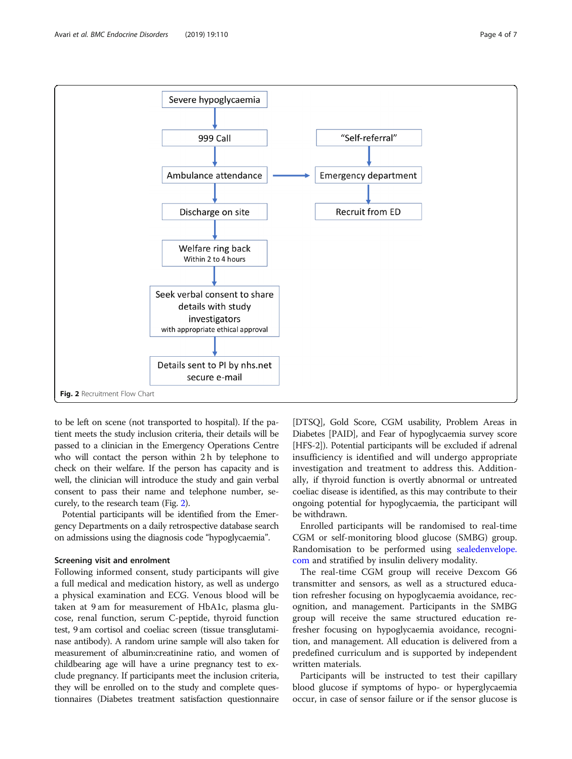<span id="page-3-0"></span>

to be left on scene (not transported to hospital). If the patient meets the study inclusion criteria, their details will be passed to a clinician in the Emergency Operations Centre who will contact the person within 2 h by telephone to check on their welfare. If the person has capacity and is well, the clinician will introduce the study and gain verbal consent to pass their name and telephone number, securely, to the research team (Fig. 2).

Potential participants will be identified from the Emergency Departments on a daily retrospective database search on admissions using the diagnosis code "hypoglycaemia".

#### Screening visit and enrolment

Following informed consent, study participants will give a full medical and medication history, as well as undergo a physical examination and ECG. Venous blood will be taken at 9 am for measurement of HbA1c, plasma glucose, renal function, serum C-peptide, thyroid function test, 9 am cortisol and coeliac screen (tissue transglutaminase antibody). A random urine sample will also taken for measurement of albumin:creatinine ratio, and women of childbearing age will have a urine pregnancy test to exclude pregnancy. If participants meet the inclusion criteria, they will be enrolled on to the study and complete questionnaires (Diabetes treatment satisfaction questionnaire

[DTSQ], Gold Score, CGM usability, Problem Areas in Diabetes [PAID], and Fear of hypoglycaemia survey score [HFS-2]). Potential participants will be excluded if adrenal insufficiency is identified and will undergo appropriate investigation and treatment to address this. Additionally, if thyroid function is overtly abnormal or untreated coeliac disease is identified, as this may contribute to their ongoing potential for hypoglycaemia, the participant will be withdrawn.

Enrolled participants will be randomised to real-time CGM or self-monitoring blood glucose (SMBG) group. Randomisation to be performed using [sealedenvelope.](http://sealedenvelope.com) [com](http://sealedenvelope.com) and stratified by insulin delivery modality.

The real-time CGM group will receive Dexcom G6 transmitter and sensors, as well as a structured education refresher focusing on hypoglycaemia avoidance, recognition, and management. Participants in the SMBG group will receive the same structured education refresher focusing on hypoglycaemia avoidance, recognition, and management. All education is delivered from a predefined curriculum and is supported by independent written materials.

Participants will be instructed to test their capillary blood glucose if symptoms of hypo- or hyperglycaemia occur, in case of sensor failure or if the sensor glucose is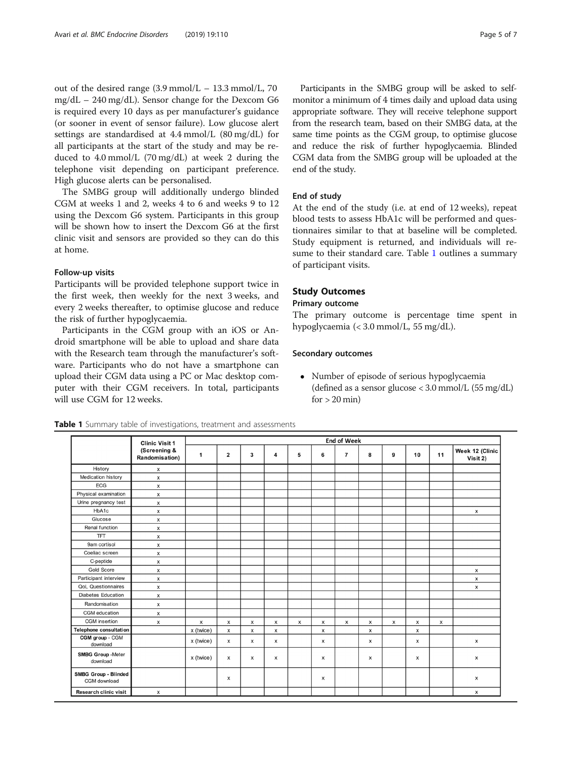out of the desired range  $(3.9 \text{ mmol/L} - 13.3 \text{ mmol/L}$ , 70 mg/dL – 240 mg/dL). Sensor change for the Dexcom G6 is required every 10 days as per manufacturer's guidance (or sooner in event of sensor failure). Low glucose alert settings are standardised at 4.4 mmol/L (80 mg/dL) for all participants at the start of the study and may be reduced to 4.0 mmol/L (70 mg/dL) at week 2 during the telephone visit depending on participant preference. High glucose alerts can be personalised.

The SMBG group will additionally undergo blinded CGM at weeks 1 and 2, weeks 4 to 6 and weeks 9 to 12 using the Dexcom G6 system. Participants in this group will be shown how to insert the Dexcom G6 at the first clinic visit and sensors are provided so they can do this at home.

#### Follow-up visits

Participants will be provided telephone support twice in the first week, then weekly for the next 3 weeks, and every 2 weeks thereafter, to optimise glucose and reduce the risk of further hypoglycaemia.

Participants in the CGM group with an iOS or Android smartphone will be able to upload and share data with the Research team through the manufacturer's software. Participants who do not have a smartphone can upload their CGM data using a PC or Mac desktop computer with their CGM receivers. In total, participants will use CGM for 12 weeks.

Participants in the SMBG group will be asked to selfmonitor a minimum of 4 times daily and upload data using appropriate software. They will receive telephone support from the research team, based on their SMBG data, at the same time points as the CGM group, to optimise glucose and reduce the risk of further hypoglycaemia. Blinded CGM data from the SMBG group will be uploaded at the end of the study.

## End of study

At the end of the study (i.e. at end of 12 weeks), repeat blood tests to assess HbA1c will be performed and questionnaires similar to that at baseline will be completed. Study equipment is returned, and individuals will resume to their standard care. Table 1 outlines a summary of participant visits.

# Study Outcomes

## Primary outcome

The primary outcome is percentage time spent in hypoglycaemia (< 3.0 mmol/L, 55 mg/dL).

## Secondary outcomes

 Number of episode of serious hypoglycaemia (defined as a sensor glucose < 3.0 mmol/L (55 mg/dL)  $for > 20 min$ )

|                                             | <b>Clinic Visit 1</b><br>(Screening &<br>Randomisation) | <b>End of Week</b> |                         |                           |                           |                    |                           |                           |                           |                |                           |                |                             |
|---------------------------------------------|---------------------------------------------------------|--------------------|-------------------------|---------------------------|---------------------------|--------------------|---------------------------|---------------------------|---------------------------|----------------|---------------------------|----------------|-----------------------------|
|                                             |                                                         | 1                  | $\overline{\mathbf{2}}$ | 3                         | 4                         | 5                  | 6                         | $\overline{7}$            | 8                         | 9              | 10                        | 11             | Week 12 (Clinic<br>Visit 2) |
| History                                     | x                                                       |                    |                         |                           |                           |                    |                           |                           |                           |                |                           |                |                             |
| Medication history                          | x                                                       |                    |                         |                           |                           |                    |                           |                           |                           |                |                           |                |                             |
| ECG                                         | x                                                       |                    |                         |                           |                           |                    |                           |                           |                           |                |                           |                |                             |
| Physical examination                        | x                                                       |                    |                         |                           |                           |                    |                           |                           |                           |                |                           |                |                             |
| Urine pregnancy test                        | x                                                       |                    |                         |                           |                           |                    |                           |                           |                           |                |                           |                |                             |
| HbA1c                                       | x                                                       |                    |                         |                           |                           |                    |                           |                           |                           |                |                           |                | x                           |
| Glucose                                     | x                                                       |                    |                         |                           |                           |                    |                           |                           |                           |                |                           |                |                             |
| Renal function                              | x                                                       |                    |                         |                           |                           |                    |                           |                           |                           |                |                           |                |                             |
| <b>TFT</b>                                  | x                                                       |                    |                         |                           |                           |                    |                           |                           |                           |                |                           |                |                             |
| 9am cortisol                                | x                                                       |                    |                         |                           |                           |                    |                           |                           |                           |                |                           |                |                             |
| Coeliac screen                              | x                                                       |                    |                         |                           |                           |                    |                           |                           |                           |                |                           |                |                             |
| C-peptide                                   | x                                                       |                    |                         |                           |                           |                    |                           |                           |                           |                |                           |                |                             |
| Gold Score                                  | x                                                       |                    |                         |                           |                           |                    |                           |                           |                           |                |                           |                | x                           |
| Participant interview                       | x                                                       |                    |                         |                           |                           |                    |                           |                           |                           |                |                           |                | x                           |
| <b>QoL Questionnaires</b>                   | x                                                       |                    |                         |                           |                           |                    |                           |                           |                           |                |                           |                | $\boldsymbol{\mathsf{x}}$   |
| <b>Diabetes Education</b>                   | x                                                       |                    |                         |                           |                           |                    |                           |                           |                           |                |                           |                |                             |
| Randomisation                               | x                                                       |                    |                         |                           |                           |                    |                           |                           |                           |                |                           |                |                             |
| CGM education                               | x                                                       |                    |                         |                           |                           |                    |                           |                           |                           |                |                           |                |                             |
| <b>CGM</b> insertion                        | x                                                       | x                  | x                       | x                         | x                         | $\pmb{\mathsf{x}}$ | x                         | $\boldsymbol{\mathsf{x}}$ | $\pmb{\times}$            | $\pmb{\times}$ | $\pmb{\times}$            | $\pmb{\times}$ |                             |
| Telephone consultation                      |                                                         | x (twice)          | $\pmb{\times}$          | $\boldsymbol{\mathsf{x}}$ | $\boldsymbol{\mathsf{x}}$ |                    | $\boldsymbol{\mathsf{x}}$ |                           | $\boldsymbol{\mathsf{x}}$ |                | $\boldsymbol{\mathsf{x}}$ |                |                             |
| CGM group - CGM<br>download                 |                                                         | x (twice)          | x                       | x                         | x                         |                    | x                         |                           | x                         |                | x                         |                | x                           |
| <b>SMBG Group -Meter</b><br>download        |                                                         | x (twice)          | х                       | х                         | x                         |                    | х                         |                           | x                         |                | x                         |                | x                           |
| <b>SMBG Group - Blinded</b><br>CGM download |                                                         |                    | x                       |                           |                           |                    | x                         |                           |                           |                |                           |                | x                           |
| Research clinic visit                       | x                                                       |                    |                         |                           |                           |                    |                           |                           |                           |                |                           |                | x                           |

Table 1 Summary table of investigations, treatment and assessments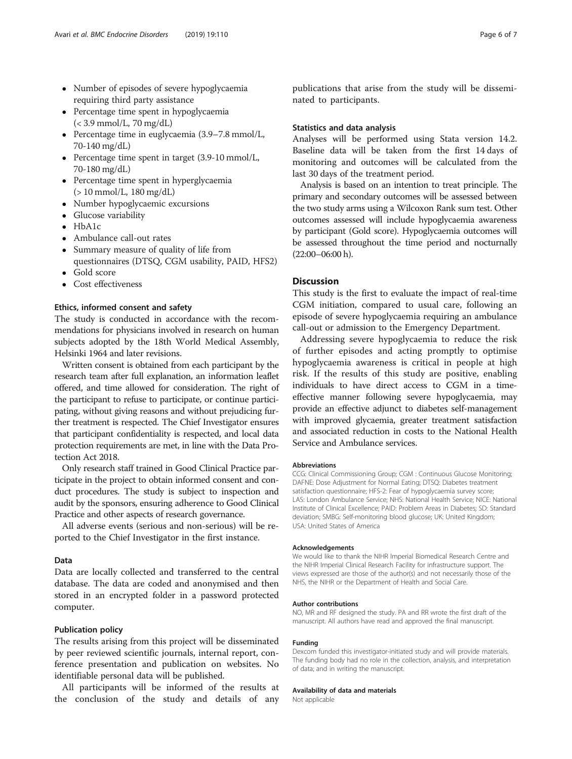- Number of episodes of severe hypoglycaemia requiring third party assistance
- Percentage time spent in hypoglycaemia  $( $3.9 \text{ mmol/L}$ ,  $70 \text{ mg/dL}$ )$
- Percentage time in euglycaemia (3.9–7.8 mmol/L, 70-140 mg/dL)
- Percentage time spent in target (3.9-10 mmol/L, 70-180 mg/dL)
- Percentage time spent in hyperglycaemia (> 10 mmol/L, 180 mg/dL)
- Number hypoglycaemic excursions
- Glucose variability
- $-HhA1c$
- Ambulance call-out rates
- Summary measure of quality of life from questionnaires (DTSQ, CGM usability, PAID, HFS2)
- Gold score
- Cost effectiveness

#### Ethics, informed consent and safety

The study is conducted in accordance with the recommendations for physicians involved in research on human subjects adopted by the 18th World Medical Assembly, Helsinki 1964 and later revisions.

Written consent is obtained from each participant by the research team after full explanation, an information leaflet offered, and time allowed for consideration. The right of the participant to refuse to participate, or continue participating, without giving reasons and without prejudicing further treatment is respected. The Chief Investigator ensures that participant confidentiality is respected, and local data protection requirements are met, in line with the Data Protection Act 2018.

Only research staff trained in Good Clinical Practice participate in the project to obtain informed consent and conduct procedures. The study is subject to inspection and audit by the sponsors, ensuring adherence to Good Clinical Practice and other aspects of research governance.

All adverse events (serious and non-serious) will be reported to the Chief Investigator in the first instance.

### Data

Data are locally collected and transferred to the central database. The data are coded and anonymised and then stored in an encrypted folder in a password protected computer.

#### Publication policy

The results arising from this project will be disseminated by peer reviewed scientific journals, internal report, conference presentation and publication on websites. No identifiable personal data will be published.

All participants will be informed of the results at the conclusion of the study and details of any

publications that arise from the study will be disseminated to participants.

#### Statistics and data analysis

Analyses will be performed using Stata version 14.2. Baseline data will be taken from the first 14 days of monitoring and outcomes will be calculated from the last 30 days of the treatment period.

Analysis is based on an intention to treat principle. The primary and secondary outcomes will be assessed between the two study arms using a Wilcoxon Rank sum test. Other outcomes assessed will include hypoglycaemia awareness by participant (Gold score). Hypoglycaemia outcomes will be assessed throughout the time period and nocturnally  $(22:00-06:00 h)$ .

# **Discussion**

This study is the first to evaluate the impact of real-time CGM initiation, compared to usual care, following an episode of severe hypoglycaemia requiring an ambulance call-out or admission to the Emergency Department.

Addressing severe hypoglycaemia to reduce the risk of further episodes and acting promptly to optimise hypoglycaemia awareness is critical in people at high risk. If the results of this study are positive, enabling individuals to have direct access to CGM in a timeeffective manner following severe hypoglycaemia, may provide an effective adjunct to diabetes self-management with improved glycaemia, greater treatment satisfaction and associated reduction in costs to the National Health Service and Ambulance services.

#### Abbreviations

CCG: Clinical Commissioning Group; CGM : Continuous Glucose Monitoring; DAFNE: Dose Adjustment for Normal Eating; DTSQ: Diabetes treatment satisfaction questionnaire; HFS-2: Fear of hypoglycaemia survey score; LAS: London Ambulance Service; NHS: National Health Service; NICE: National Institute of Clinical Excellence; PAID: Problem Areas in Diabetes; SD: Standard deviation; SMBG: Self-monitoring blood glucose; UK: United Kingdom; USA: United States of America

#### Acknowledgements

We would like to thank the NIHR Imperial Biomedical Research Centre and the NIHR Imperial Clinical Research Facility for infrastructure support. The views expressed are those of the author(s) and not necessarily those of the NHS, the NIHR or the Department of Health and Social Care.

#### Author contributions

NO, MR and RF designed the study. PA and RR wrote the first draft of the manuscript. All authors have read and approved the final manuscript.

#### Funding

Dexcom funded this investigator-initiated study and will provide materials. The funding body had no role in the collection, analysis, and interpretation of data; and in writing the manuscript.

#### Availability of data and materials

Not applicable